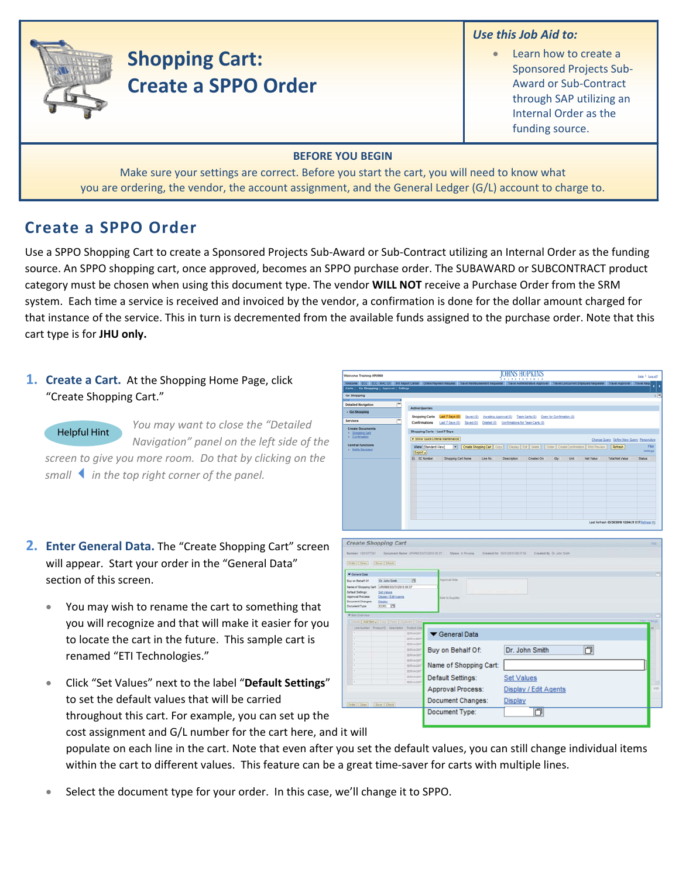## *Use this Job Aid to:*



# **Shopping Cart: Create a SPPO Order**

Learn how to create a Sponsored Projects Sub‐ Award or Sub‐Contract through SAP utilizing an Internal Order as the funding source.

#### **BEFORE YOU BEGIN**

Make sure your settings are correct. Before you start the cart, you will need to know what you are ordering, the vendor, the account assignment, and the General Ledger (G/L) account to charge to.

# **Create a SPPO Order**

Use a SPPO Shopping Cart to create a Sponsored Projects Sub‐Award or Sub‐Contract utilizing an Internal Order as the funding source. An SPPO shopping cart, once approved, becomes an SPPO purchase order. The SUBAWARD or SUBCONTRACT product category must be chosen when using this document type. The vendor **WILL NOT** receive a Purchase Order from the SRM system. Each time a service is received and invoiced by the vendor, a confirmation is done for the dollar amount charged for that instance of the service. This in turn is decremented from the available funds assigned to the purchase order. Note that this cart type is for **JHU only.**

**1. Create a Cart.** At the Shopping Home Page, click "Create Shopping Cart."

*You may want to close the "Detailed Navigation" panel on the left side of the screen to give you more room. Do that by clicking on the smallin the top right corner of the panel.* Helpful Hint

- **2. Enter General Data.** The "Create Shopping Cart" screen will appear. Start your order in the "General Data" section of this screen.
	- You may wish to rename the cart to something that you will recognize and that will make it easier for you to locate the cart in the future. This sample cart is renamed "ETI Technologies."
	- Click "Set Values" next to the label "**Default Settings**" to set the default values that will be carried throughout this cart. For example, you can set up the cost assignment and G/L number for the cart here, an d it will

populate on each line in the cart. Note that even after you set the default values, you can still change individual items within the cart to different values. This feature can be a great time-saver for carts with multiple lines.

• Select the document type for your order. In this case, we'll change it to SPPO.

| Welcome Training UPUR60                                                                                                                                                                                                                                                                                                                                                                          |                                   |                                                                                                                                               |                                                                          | JUHINO HUF KIINO<br><b>XXTITUTIONS</b> |      |      |                  |                                                  | Help   Log.off |
|--------------------------------------------------------------------------------------------------------------------------------------------------------------------------------------------------------------------------------------------------------------------------------------------------------------------------------------------------------------------------------------------------|-----------------------------------|-----------------------------------------------------------------------------------------------------------------------------------------------|--------------------------------------------------------------------------|----------------------------------------|------|------|------------------|--------------------------------------------------|----------------|
| Welcome ECC ECC-MACOS BW Report Center Online Payment Request Travel Reimbursement Requester Travel Administrative Approver Travel Concurrent Employed Requester Travel Approver Travel Approver                                                                                                                                                                                                 |                                   |                                                                                                                                               |                                                                          |                                        |      |      |                  |                                                  | ä              |
| Alerts   Go Shopping   Approval   Settings<br>Go Shopping                                                                                                                                                                                                                                                                                                                                        |                                   |                                                                                                                                               |                                                                          |                                        |      |      |                  |                                                  | тB,            |
| m                                                                                                                                                                                                                                                                                                                                                                                                |                                   |                                                                                                                                               |                                                                          |                                        |      |      |                  |                                                  |                |
| <b>Detailed Navigation</b><br>Е                                                                                                                                                                                                                                                                                                                                                                  | <b>Active Queries</b>             |                                                                                                                                               |                                                                          |                                        |      |      |                  |                                                  |                |
| · Go Shopping                                                                                                                                                                                                                                                                                                                                                                                    | <b>Shopping Carts</b>             | Last 7 Days (0)                                                                                                                               | Saved (2) Awalting Approval (0) Team Carts (0) Open for Confirmation (0) |                                        |      |      |                  |                                                  |                |
| Е<br><b>Services</b>                                                                                                                                                                                                                                                                                                                                                                             | Confirmations                     | Last 7 Days (0) Saved (0) Deleted (0) Confirmations for Team Carts (0)                                                                        |                                                                          |                                        |      |      |                  |                                                  |                |
| <b>Create Documents</b>                                                                                                                                                                                                                                                                                                                                                                          | Shopping Carts - Last 7 Days      |                                                                                                                                               |                                                                          |                                        |      |      |                  |                                                  |                |
| Shopping Card<br>Confirmation                                                                                                                                                                                                                                                                                                                                                                    | > Show Quick Criteria Maintenance |                                                                                                                                               |                                                                          |                                        |      |      |                  |                                                  |                |
| <b>Central Functions</b>                                                                                                                                                                                                                                                                                                                                                                         |                                   | View [Standard View]       Create Shopping Cart   Copy     Display   Edt   Delete     Order   Create Confirmation   Print Preview     Refresh |                                                                          |                                        |      |      |                  | Change Query Define New Query Personalize        | Fiter          |
| Notify Recipient                                                                                                                                                                                                                                                                                                                                                                                 | Export a                          |                                                                                                                                               |                                                                          |                                        |      |      |                  |                                                  | Settings       |
|                                                                                                                                                                                                                                                                                                                                                                                                  | B SC Number                       | Shopping Cart Name<br>Line No.                                                                                                                | <b>Description</b>                                                       | Created On                             | City | Unit | <b>Net Value</b> | <b>Total Net Value</b>                           | Status         |
|                                                                                                                                                                                                                                                                                                                                                                                                  |                                   |                                                                                                                                               |                                                                          |                                        |      |      |                  |                                                  |                |
|                                                                                                                                                                                                                                                                                                                                                                                                  |                                   |                                                                                                                                               |                                                                          |                                        |      |      |                  |                                                  |                |
|                                                                                                                                                                                                                                                                                                                                                                                                  |                                   |                                                                                                                                               |                                                                          |                                        |      |      |                  |                                                  |                |
|                                                                                                                                                                                                                                                                                                                                                                                                  |                                   |                                                                                                                                               |                                                                          |                                        |      |      |                  |                                                  |                |
|                                                                                                                                                                                                                                                                                                                                                                                                  |                                   |                                                                                                                                               |                                                                          |                                        |      |      |                  |                                                  |                |
|                                                                                                                                                                                                                                                                                                                                                                                                  |                                   |                                                                                                                                               |                                                                          |                                        |      |      |                  |                                                  |                |
|                                                                                                                                                                                                                                                                                                                                                                                                  |                                   |                                                                                                                                               |                                                                          |                                        |      |      |                  |                                                  |                |
|                                                                                                                                                                                                                                                                                                                                                                                                  |                                   |                                                                                                                                               |                                                                          |                                        |      |      |                  |                                                  |                |
|                                                                                                                                                                                                                                                                                                                                                                                                  |                                   |                                                                                                                                               |                                                                          |                                        |      |      |                  | Last Refresh 03/30/2010 12:04:31 EST Refresh [2] |                |
|                                                                                                                                                                                                                                                                                                                                                                                                  |                                   |                                                                                                                                               |                                                                          |                                        |      |      |                  |                                                  |                |
| [Drive] Cline   Bave   Davis<br><b>V</b> General Data<br>Buy on Behalf Of:<br>Dr. John Smith<br>Name of Shopping Cart. UPURED 63/31/2010 09:37<br>Default Settings<br><b>Set Values</b><br>Approval Process<br><b>Depart / Edit Agents</b><br><b>Document Changes:</b><br>- Depley<br><b>Document Type:</b><br>toro <b>D</b><br>* las Dyenies:<br>Drivin   Antibera   Comp   Frank   Daubone   D | ы                                 | <b>Approval links</b><br>tate to Suppler                                                                                                      |                                                                          |                                        |      |      |                  |                                                  |                |
| Leathinse Policit Cescome ProtictCas                                                                                                                                                                                                                                                                                                                                                             | <b>SERVAGNT</b>                   | General Data                                                                                                                                  |                                                                          |                                        |      |      |                  |                                                  |                |
|                                                                                                                                                                                                                                                                                                                                                                                                  | SERVADIT                          |                                                                                                                                               |                                                                          |                                        |      |      |                  |                                                  |                |
|                                                                                                                                                                                                                                                                                                                                                                                                  | SERVADIT<br>SERUATES              |                                                                                                                                               |                                                                          |                                        |      |      |                  |                                                  |                |
|                                                                                                                                                                                                                                                                                                                                                                                                  | <b>SERVAGNT</b>                   | Buy on Behalf Of:                                                                                                                             |                                                                          | Dr. John Smith                         |      |      | 门                |                                                  |                |
|                                                                                                                                                                                                                                                                                                                                                                                                  | SERVADIT                          |                                                                                                                                               |                                                                          |                                        |      |      |                  |                                                  |                |
|                                                                                                                                                                                                                                                                                                                                                                                                  | <b>SERVAGNT</b><br>SERVADILT      | Name of Shopping Cart:                                                                                                                        |                                                                          |                                        |      |      |                  |                                                  |                |
|                                                                                                                                                                                                                                                                                                                                                                                                  | <b>SERVAGNY</b>                   |                                                                                                                                               |                                                                          |                                        |      |      |                  |                                                  |                |
|                                                                                                                                                                                                                                                                                                                                                                                                  | SERVAGNT                          | Default Settings:                                                                                                                             | <b>Set Values</b>                                                        |                                        |      |      |                  |                                                  |                |
|                                                                                                                                                                                                                                                                                                                                                                                                  |                                   | Approval Process:                                                                                                                             |                                                                          | Display / Edit Agents                  |      |      |                  |                                                  | inti           |
|                                                                                                                                                                                                                                                                                                                                                                                                  |                                   |                                                                                                                                               |                                                                          |                                        |      |      |                  |                                                  |                |
| Order Cose   Save   Own                                                                                                                                                                                                                                                                                                                                                                          |                                   | Document Changes:                                                                                                                             | <b>Display</b>                                                           |                                        |      |      |                  |                                                  |                |
|                                                                                                                                                                                                                                                                                                                                                                                                  |                                   | Document Type:                                                                                                                                |                                                                          | O                                      |      |      |                  |                                                  |                |
|                                                                                                                                                                                                                                                                                                                                                                                                  |                                   |                                                                                                                                               |                                                                          |                                        |      |      |                  |                                                  |                |
|                                                                                                                                                                                                                                                                                                                                                                                                  |                                   |                                                                                                                                               |                                                                          |                                        |      |      |                  |                                                  |                |
| 14. 111                                                                                                                                                                                                                                                                                                                                                                                          |                                   |                                                                                                                                               |                                                                          |                                        |      |      |                  |                                                  |                |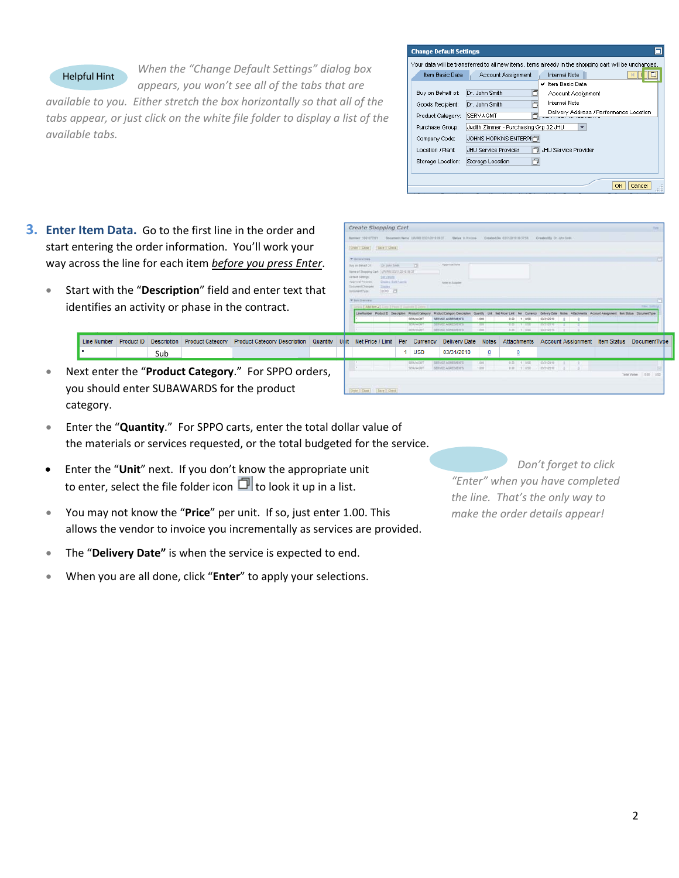### Helpful Hint

*When the "Change Default Settings" dialog box appears, you won't see all of the tabs that are*

*available to you. Either stretch the box horizontally so that all of the tabs appear, or just click on the white file folder to display a list of the available tabs.*

| <b>Change Default Settings</b> |                                                                                                       |
|--------------------------------|-------------------------------------------------------------------------------------------------------|
|                                | Your data will be transferred to all new items, items already in the shopping cart will be unchanged. |
| Item Basic Data                | <b>Internal Note</b><br>Account Assignment                                                            |
|                                | ✔ Item Basic Data                                                                                     |
| Buy on Behalf of:              | Dr. John Smith<br>门<br>Account Assignment                                                             |
| Goods Recipient:               | <b>Internal Note</b><br>Dr. John Smith                                                                |
| Product Category:              | Delivery Address / Performance Location<br>SERVAGMT                                                   |
| Purchase Group:                | Judith Zimmer - Purchasing Grp 32 JHU                                                                 |
| Company Code:                  | JOHNS HOPKINS ENTERPHT                                                                                |
| Location / Plant:              | JHU Service Provider<br>JHU Service Provider                                                          |
| Storage Location:              | Storage Location<br>门                                                                                 |
|                                | Cancel<br>OK                                                                                          |

- **3. Enter Item Data.** Go to the first line in the order and start entering the order information. You'll work your way across the line for each item *before you press Enter*.
	- Start with the "**Description**" field and enter text that identifies an activity or phase in the contract.

|  |     | Line Number Product ID Description Product Category Product Category Description Quantity Unit Net Price / Limit Per Currency Delivery Date Notes Attachments Account Assignment Item Status DocumentType |  |  |     |                           |                      |                                             |                        |  |
|--|-----|-----------------------------------------------------------------------------------------------------------------------------------------------------------------------------------------------------------|--|--|-----|---------------------------|----------------------|---------------------------------------------|------------------------|--|
|  | Sub |                                                                                                                                                                                                           |  |  | USD | 03/31/2010                |                      |                                             |                        |  |
|  |     | Next enter the "Product Category." For SPPO orders,                                                                                                                                                       |  |  |     | SERVICE ADDITIONITY 1 RDT | $-0.00$ $+$ $-100$ . | $122012210$ $1$ $1$<br>2.00 1.00 0.0000 1 3 | TeleValue   0.00   UST |  |
|  |     | you should enter SUBAWARDS for the product                                                                                                                                                                |  |  |     |                           |                      |                                             |                        |  |

Create Shopping Cart

category. • Enter the "**Quantity**." For SPPO carts, enter the t otal dollar value of

the materials or services requested, or the total budgeted for the service.

- Enter the "Unit" next. If you don't know the appropriate unit to enter, select the file folder icon  $\Box$  to look it up in a list.
- You may not know the "Price" per unit. If so, just enter 1.00. This allows the vendor to invoice you incrementally as services are provided.
- **•** The "Delivery Date" is when the service is expected to end.
- When you are all done, click "Enter" to apply your selections.

 $Don't$  *forget to click "Enter" when you have completed the line. That's the only way to make the order details appear!*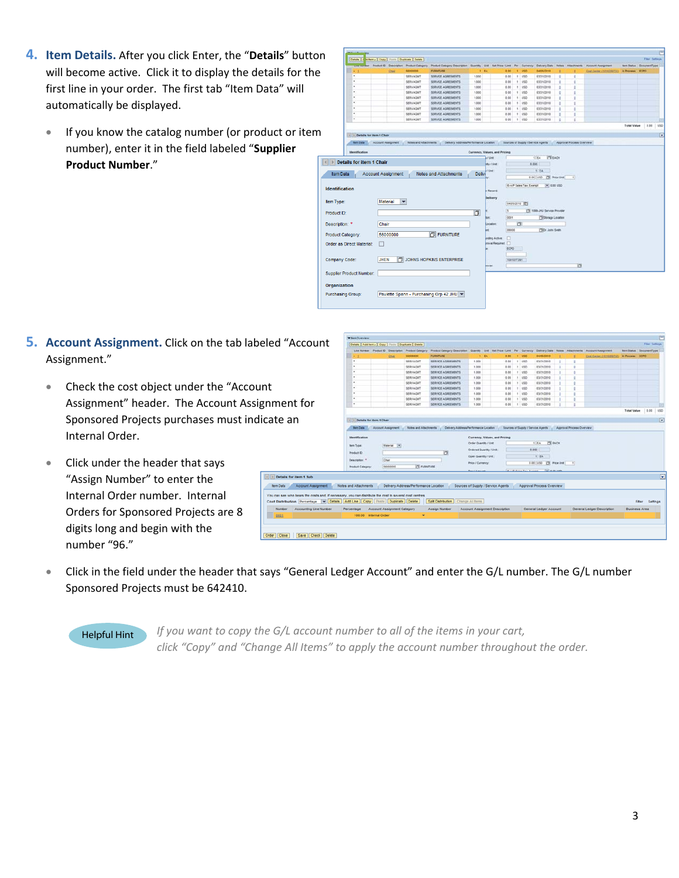- **4. Item Details.** After you click Enter, the "**Details**" butto n will become active. Click it to display the details for the first line in your order. The first tab "Item Data" will automatically be displayed.
	- If you know the catalog number (or product or item number), enter it in the field labeled "**Supplier Product Number**."



- **5. Account Assignment.** Click on the tab labeled "Account Assignment."
	- Check the cost object under the "Account Assignment" header. The Account Assignment Sponsored Projects purchases must indicate an Internal Order.
	- Click under the header that says "Assign Number" to enter the Internal Order number. Internal Orders for Sponsored Projects are 8 digits long and begin with the number "96."

|                           | <b>With Overview</b>                                                                 |                    |                                    |                                                    |                                                                                                                             |                                |                                       |      |            |                              |                           |              |                           |                            |                          |                    |  |
|---------------------------|--------------------------------------------------------------------------------------|--------------------|------------------------------------|----------------------------------------------------|-----------------------------------------------------------------------------------------------------------------------------|--------------------------------|---------------------------------------|------|------------|------------------------------|---------------------------|--------------|---------------------------|----------------------------|--------------------------|--------------------|--|
| count:                    | Details   Add form a   Copy   Foots   Duplicate   Detete                             |                    |                                    |                                                    |                                                                                                                             |                                |                                       |      |            |                              |                           |              |                           |                            |                          | Film Sebrus        |  |
|                           |                                                                                      |                    |                                    | Line Number Product D Description Product Category | Product Category Description Cuantily Unit Net Price / Link Per Currency Dailyery Date Notes Attachments Account Assignment |                                |                                       |      |            |                              |                           |              |                           |                            | ten Status DiroumentType |                    |  |
|                           | ٠                                                                                    |                    | Cher                               | 58000000                                           | <b>FURNITURE</b>                                                                                                            | 1 84                           |                                       | 8.00 | $1$ use    |                              | 04/05/2012                |              |                           | Cost Carlor (1010209732)   | <b>In Process ECPO</b>   |                    |  |
|                           | $\sim$                                                                               |                    |                                    | SERVAGNT                                           | SERVICE AGREEMENTS                                                                                                          | 1.000                          |                                       | 0.00 | 1 150      |                              | 03/31/2010                | ٠            | $\mathbf{r}$              |                            |                          |                    |  |
|                           |                                                                                      |                    |                                    | <b>SERVAGNIT</b>                                   | SERVICE AGREEMENTS                                                                                                          | 1,000                          |                                       | 0.00 | 1.1050     |                              | 03/31/2010                |              |                           |                            |                          |                    |  |
|                           |                                                                                      |                    |                                    | SERVAGNT                                           | SERVICE AGREEMENTS                                                                                                          | 1,000                          |                                       | 0.00 | $1 - 1250$ |                              | 03/31/2010                | ٠            |                           |                            |                          |                    |  |
|                           | $\sim$                                                                               |                    |                                    | SERVAGNIT                                          | SERVICE AGREEMENTS                                                                                                          | 1.000                          |                                       | 0.00 | 1 1/50     |                              | 03/31/2010                | ٠            |                           |                            |                          |                    |  |
|                           | ×                                                                                    |                    |                                    | SERVAGNIT                                          | SERVICE AGREEMENTS                                                                                                          | 1.000                          |                                       | 0.00 | $1 - 1/50$ |                              | 03/31/2018                | ٠            |                           |                            |                          |                    |  |
|                           | ٠                                                                                    |                    |                                    | SERVAGNIT                                          | SERVICE AGREEMENTS                                                                                                          | 1.000                          |                                       | 0.00 | 1 950      |                              | 03/31/2010                | $\mathbb{R}$ |                           |                            |                          |                    |  |
|                           |                                                                                      |                    |                                    | SERVAGNT                                           | SERVICE AGREEMENTS                                                                                                          | 1.000                          |                                       | 3.00 | 1.150      |                              | 03/31/2018                | ٠            |                           |                            |                          |                    |  |
|                           |                                                                                      |                    |                                    | <b>SERVAGNIT</b>                                   | SERVICE AGREEMENTS                                                                                                          | 1.000                          |                                       | 0.00 | 1 VSD      |                              | 63/31/2010                | ٠            |                           |                            |                          |                    |  |
|                           |                                                                                      |                    |                                    | <b>SERVAGNIT</b>                                   | SERVICE AGREEMENTS                                                                                                          | 1.000                          |                                       | 0.00 | 1 950      |                              | 03/31/2010                | ٠            |                           |                            |                          |                    |  |
|                           |                                                                                      |                    |                                    |                                                    |                                                                                                                             |                                |                                       |      |            |                              |                           |              |                           |                            |                          | Total Value   0.00 |  |
|                           |                                                                                      |                    |                                    |                                                    |                                                                                                                             |                                |                                       |      |            |                              |                           |              |                           |                            |                          |                    |  |
|                           | 1 1 Details for new 4 Chair                                                          |                    |                                    |                                                    |                                                                                                                             |                                |                                       |      |            |                              |                           |              |                           |                            |                          |                    |  |
|                           | <b>Barn Data</b>                                                                     | Account Assignment |                                    | <b>Notes and Attachments</b>                       | Delivery Address/Performance Location . Sources of Suzzly / Service Agents                                                  |                                |                                       |      |            |                              |                           |              | Asensval Process Overview |                            |                          |                    |  |
|                           | Identification                                                                       |                    |                                    |                                                    |                                                                                                                             | Order Quantity / Link          | Currency, Values, and Pricing         |      |            |                              | <b>ITI MON</b><br>1.8A    |              |                           |                            |                          |                    |  |
|                           | <b>Barn Type:</b>                                                                    |                    | <b>Material</b> (*)                |                                                    |                                                                                                                             | <b>Ordered Quantity / Unit</b> |                                       |      |            | 0.000                        |                           |              |                           |                            |                          |                    |  |
|                           | <b>Product D:</b>                                                                    |                    |                                    |                                                    | o                                                                                                                           |                                |                                       |      |            |                              |                           |              |                           |                            |                          |                    |  |
|                           | Deatription. *                                                                       | Char               |                                    |                                                    |                                                                                                                             | Open Quantity / Unit:          |                                       |      |            |                              | 1 EA                      |              |                           |                            |                          |                    |  |
|                           | <b>Product Category</b>                                                              |                    | 56000000                           | <b>TSI FURNITURE</b>                               |                                                                                                                             | Price / Currency               |                                       |      |            |                              | 0.00 USD TV Price Link    |              | $\lceil$                  |                            |                          |                    |  |
|                           |                                                                                      |                    |                                    |                                                    |                                                                                                                             | <b>Taich &amp; American</b>    |                                       |      |            | <b>WILD FALL TAX EXHIBIT</b> | <b>Call is no come</b>    |              |                           |                            |                          |                    |  |
|                           |                                                                                      |                    |                                    |                                                    |                                                                                                                             |                                |                                       |      |            |                              |                           |              |                           |                            |                          |                    |  |
|                           |                                                                                      |                    |                                    |                                                    |                                                                                                                             |                                |                                       |      |            |                              |                           |              |                           |                            |                          |                    |  |
|                           |                                                                                      |                    |                                    |                                                    |                                                                                                                             |                                |                                       |      |            |                              |                           |              |                           |                            |                          |                    |  |
| <b>InsmergiesA Inuopo</b> | <b>Notes and Attachments</b>                                                         |                    |                                    | Delivery Address/Performance Location              |                                                                                                                             |                                | Sources of Supply / Service Agents    |      |            |                              | Approval Process Overview |              |                           |                            |                          |                    |  |
|                           |                                                                                      |                    |                                    |                                                    |                                                                                                                             |                                |                                       |      |            |                              |                           |              |                           |                            |                          |                    |  |
|                           | ars the costs and, if necessary, you can distribute the cost to several cost centres |                    |                                    |                                                    |                                                                                                                             |                                |                                       |      |            |                              |                           |              |                           |                            |                          |                    |  |
|                           | Percentage v Details Add Line Copy Paste Duplicate Delete                            |                    |                                    |                                                    | Split Distribution   Change All Items                                                                                       |                                |                                       |      |            |                              |                           |              |                           |                            |                          | Fiber<br>Settings  |  |
| counting Line Number      | Percentage                                                                           |                    | <b>Account Assignment Category</b> |                                                    | <b>Assign Number</b>                                                                                                        |                                | <b>Account Assignment Description</b> |      |            |                              | General Ledger Account    |              |                           | General Ledger Description | <b>Business Area</b>     |                    |  |

• Click in the field under the header that says "General Ledger Account" and enter the G/L number. The G/L number Sponsored Projects must be 642410.

 $\left|\cdot\right|$  > Details for ite tem Data / A 'ou can see who t

Helpful Hint *If you want to copy the G/L account number to all of the items in your cart, click "Copy" and "Change All Items" to apply the account number throughout the order.*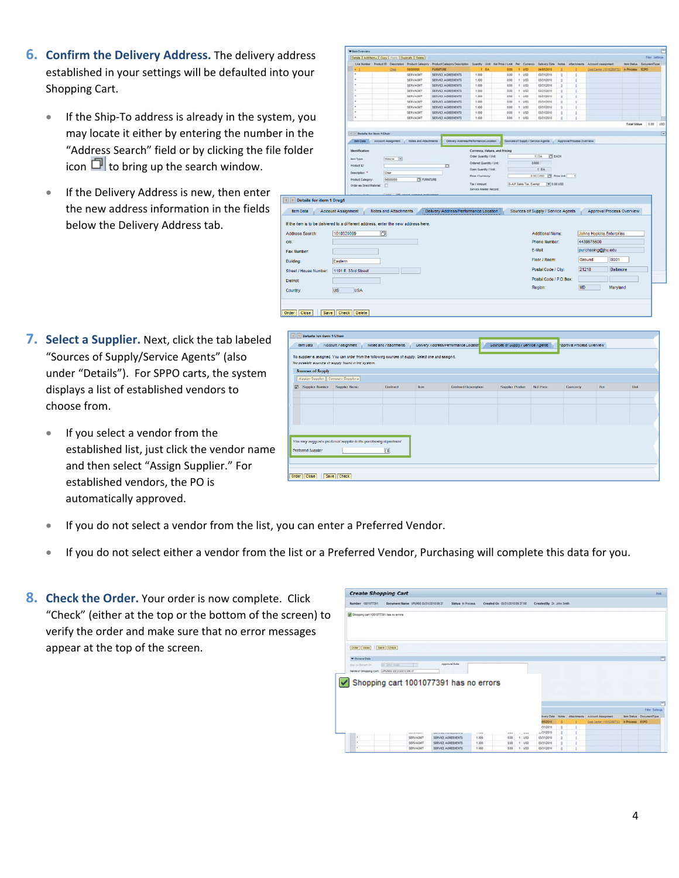- **6. Confirm the Delivery Address.** The delivery address established in your settings will be defaulted into your Shopping Cart.
	- If the Ship-To address is already in the system, you may locate it either by entering the number in the "Address Search" field or by clicking the file folder icon  $\Box$  to bring up the search window.
	- If the Delivery Address is new, then enter the new address information in the fields below the Delivery Address tab.



- **7. Select a Supplier.** Next, click the tab labeled "Sources of Supply/Service Agents" (also under "Details"). For SPPO carts, the system displays a list of established vendors to choose from.
	- If you select a vendor from the established list, just click the vendor name and then select "Assign Supplier." For established vendors, the PO is automatically approved.

| <b>Tom Data</b>        |                                                                                                                                                             |                        |             |                                       |                                    |                           |            |             |
|------------------------|-------------------------------------------------------------------------------------------------------------------------------------------------------------|------------------------|-------------|---------------------------------------|------------------------------------|---------------------------|------------|-------------|
|                        | Account Assignment                                                                                                                                          | Notes and Attachments. |             | Delivery Address/Performance Location | 'Sources of Suppy / Service Agents | sppraval Process Overview |            |             |
|                        |                                                                                                                                                             |                        |             |                                       |                                    |                           |            |             |
|                        | No supplier is assigned. You can order from the following sources of supply. Selections and sesign.t.<br>No possible sources of supply found in the system. |                        |             |                                       |                                    |                           |            |             |
| Sources of Supply      |                                                                                                                                                             |                        |             |                                       |                                    |                           |            |             |
|                        | Assign Supplier Compare Suppliers                                                                                                                           |                        |             |                                       |                                    |                           |            |             |
|                        | ES Supplier Number Supplier Name                                                                                                                            | Contract               | <b>Bonu</b> | <b>Contract Description</b>           | Supplier Product Net Price         | Currency                  | <b>Ren</b> | <b>Unit</b> |
|                        |                                                                                                                                                             |                        |             |                                       |                                    |                           |            |             |
|                        |                                                                                                                                                             |                        |             |                                       |                                    |                           |            |             |
|                        |                                                                                                                                                             |                        |             |                                       |                                    |                           |            |             |
|                        |                                                                                                                                                             |                        |             |                                       |                                    |                           |            |             |
|                        |                                                                                                                                                             |                        |             |                                       |                                    |                           |            |             |
|                        |                                                                                                                                                             |                        |             |                                       |                                    |                           |            |             |
|                        | You may suggest a preferred suggiler to the purchasing department.                                                                                          |                        |             |                                       |                                    |                           |            |             |
| Proferred Supplet      |                                                                                                                                                             | in all                 |             |                                       |                                    |                           |            |             |
|                        |                                                                                                                                                             |                        |             |                                       |                                    |                           |            |             |
|                        |                                                                                                                                                             |                        |             |                                       |                                    |                           |            |             |
|                        |                                                                                                                                                             |                        |             |                                       |                                    |                           |            |             |
| Order Close Save Check |                                                                                                                                                             |                        |             |                                       |                                    |                           |            |             |

- If you do not select a vendor from the list, you can enter a Preferred Vendor.
- If you do not select either a vendor from the list or a Preferred Vendor, Purchasing will complete this data for you.
- **8. Check the Order.** Your order is now complete. Click "Check" (either at the top or the bottom of the screen) to verify the order and make sure that no error messages appear at the top of the screen.

| <b>Create Shopping Cart</b>            |                                                |                    |         |                                        |         |                           |    |   |                                          |                         | these |
|----------------------------------------|------------------------------------------------|--------------------|---------|----------------------------------------|---------|---------------------------|----|---|------------------------------------------|-------------------------|-------|
| Namber 1001077391                      | Document Name UPUR00 03/31/2010 09:37          | Status in Process. |         | Created On 03/31/2010 09:37:58         |         | Created By Dr. John Smith |    |   |                                          |                         |       |
| Shopping carl 1001077391 has no errors |                                                |                    |         |                                        |         |                           |    |   |                                          |                         |       |
| Order   Close                          | Save   Check                                   |                    |         |                                        |         |                           |    |   |                                          |                         |       |
| <b>W</b> General Data                  |                                                |                    |         |                                        |         |                           |    |   |                                          |                         | a     |
| Buy on Banart D1                       | for their heats                                | Approval Note      |         |                                        |         |                           |    |   |                                          |                         |       |
|                                        | Name of Shopping Cart: UPURED 03/21/2010 09:37 |                    |         |                                        |         |                           |    |   |                                          |                         |       |
|                                        | Shopping cart 1001077391 has no errors         |                    |         |                                        |         |                           |    |   |                                          |                         | ٣     |
|                                        |                                                |                    |         |                                        |         |                           |    |   |                                          | <b>Fiter Settings</b>   |       |
|                                        |                                                |                    |         |                                        |         | <b>Ivery Date</b>         |    |   | Notes Attachments Account Assignment     | tem Status DocumentType |       |
|                                        |                                                |                    |         |                                        |         | 05/2010<br>(31/2010)      | e  |   | Cost Center (1210202722) In Process ECPO |                         |       |
|                                        | The first term of the product                  |                    | ----    |                                        |         | (11/2010)                 | t. |   |                                          |                         |       |
| ٠                                      | <b>SERVAGINT</b>                               | SERVICE AGREEMENTS | $+ 000$ | and the company of the company<br>0.00 | $+1050$ | 03/21/2010                | g. | t |                                          |                         |       |
|                                        |                                                |                    |         |                                        |         |                           |    |   |                                          |                         |       |
| ٠                                      | <b>SERVAGET</b>                                | SERVICE AGREEMENTS | 1.500   | 0.05                                   | $+$ usp | 03/21/2010                | s  | ٠ |                                          |                         |       |